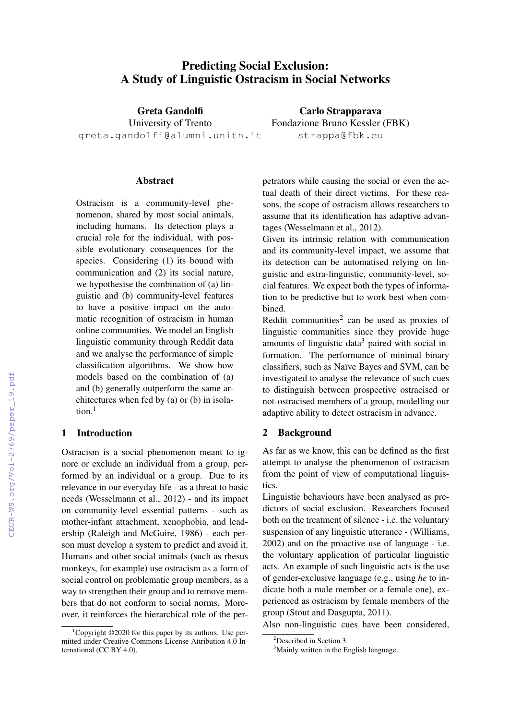# Predicting Social Exclusion: A Study of Linguistic Ostracism in Social Networks

Greta Gandolfi University of Trento greta.gandolfi@alumni.unitn.it

Carlo Strapparava Fondazione Bruno Kessler (FBK) strappa@fbk.eu

#### **Abstract**

Ostracism is a community-level phenomenon, shared by most social animals, including humans. Its detection plays a crucial role for the individual, with possible evolutionary consequences for the species. Considering (1) its bound with communication and (2) its social nature, we hypothesise the combination of (a) linguistic and (b) community-level features to have a positive impact on the automatic recognition of ostracism in human online communities. We model an English linguistic community through Reddit data and we analyse the performance of simple classification algorithms. We show how models based on the combination of (a) and (b) generally outperform the same architectures when fed by (a) or (b) in isolation.<sup>1</sup>

## 1 Introduction

Ostracism is a social phenomenon meant to ignore or exclude an individual from a group, performed by an individual or a group. Due to its relevance in our everyday life - as a threat to basic needs (Wesselmann et al., 2012) - and its impact on community-level essential patterns - such as mother-infant attachment, xenophobia, and leadership (Raleigh and McGuire, 1986) - each person must develop a system to predict and avoid it. Humans and other social animals (such as rhesus monkeys, for example) use ostracism as a form of social control on problematic group members, as a way to strengthen their group and to remove members that do not conform to social norms. Moreover, it reinforces the hierarchical role of the perpetrators while causing the social or even the actual death of their direct victims. For these reasons, the scope of ostracism allows researchers to assume that its identification has adaptive advantages (Wesselmann et al., 2012).

Given its intrinsic relation with communication and its community-level impact, we assume that its detection can be automatised relying on linguistic and extra-linguistic, community-level, social features. We expect both the types of information to be predictive but to work best when combined.

Reddit communities<sup>2</sup> can be used as proxies of linguistic communities since they provide huge amounts of linguistic data<sup>3</sup> paired with social information. The performance of minimal binary classifiers, such as Naïve Bayes and SVM, can be investigated to analyse the relevance of such cues to distinguish between prospective ostracised or not-ostracised members of a group, modelling our adaptive ability to detect ostracism in advance.

## 2 Background

As far as we know, this can be defined as the first attempt to analyse the phenomenon of ostracism from the point of view of computational linguistics.

Linguistic behaviours have been analysed as predictors of social exclusion. Researchers focused both on the treatment of silence - i.e. the voluntary suspension of any linguistic utterance - (Williams, 2002) and on the proactive use of language - i.e. the voluntary application of particular linguistic acts. An example of such linguistic acts is the use of gender-exclusive language (e.g., using *he* to indicate both a male member or a female one), experienced as ostracism by female members of the group (Stout and Dasgupta, 2011).

Also non-linguistic cues have been considered,

<sup>&</sup>lt;sup>1</sup>Copyright  $@2020$  for this paper by its authors. Use permitted under Creative Commons License Attribution 4.0 International (CC BY 4.0).

 ${}^{2}$ Described in Section 3.

<sup>&</sup>lt;sup>3</sup>Mainly written in the English language.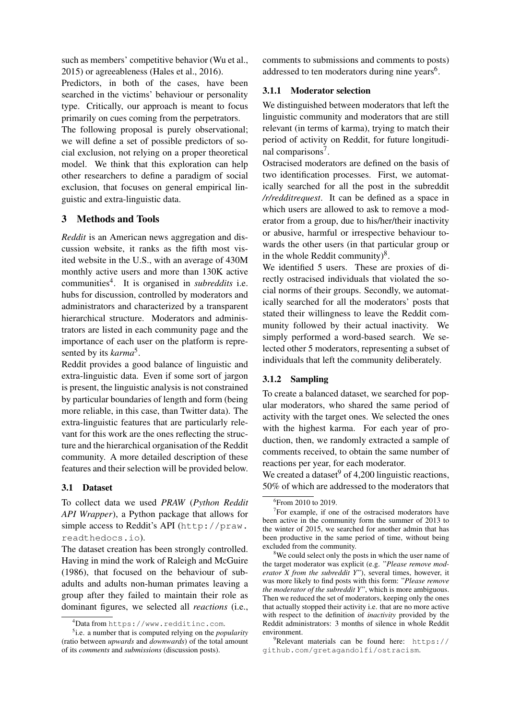such as members' competitive behavior (Wu et al., 2015) or agreeableness (Hales et al., 2016).

Predictors, in both of the cases, have been searched in the victims' behaviour or personality type. Critically, our approach is meant to focus primarily on cues coming from the perpetrators.

The following proposal is purely observational; we will define a set of possible predictors of social exclusion, not relying on a proper theoretical model. We think that this exploration can help other researchers to define a paradigm of social exclusion, that focuses on general empirical linguistic and extra-linguistic data.

### 3 Methods and Tools

*Reddit* is an American news aggregation and discussion website, it ranks as the fifth most visited website in the U.S., with an average of 430M monthly active users and more than 130K active communities<sup>4</sup> . It is organised in *subreddits* i.e. hubs for discussion, controlled by moderators and administrators and characterized by a transparent hierarchical structure. Moderators and administrators are listed in each community page and the importance of each user on the platform is represented by its *karma*<sup>5</sup> .

Reddit provides a good balance of linguistic and extra-linguistic data. Even if some sort of jargon is present, the linguistic analysis is not constrained by particular boundaries of length and form (being more reliable, in this case, than Twitter data). The extra-linguistic features that are particularly relevant for this work are the ones reflecting the structure and the hierarchical organisation of the Reddit community. A more detailed description of these features and their selection will be provided below.

### 3.1 Dataset

To collect data we used *PRAW* (*Python Reddit API Wrapper*), a Python package that allows for simple access to Reddit's API (http://praw. readthedocs.io).

The dataset creation has been strongly controlled. Having in mind the work of Raleigh and McGuire (1986), that focused on the behaviour of subadults and adults non-human primates leaving a group after they failed to maintain their role as dominant figures, we selected all *reactions* (i.e., comments to submissions and comments to posts) addressed to ten moderators during nine years<sup>6</sup>.

### 3.1.1 Moderator selection

We distinguished between moderators that left the linguistic community and moderators that are still relevant (in terms of karma), trying to match their period of activity on Reddit, for future longitudinal comparisons<sup>7</sup>.

Ostracised moderators are defined on the basis of two identification processes. First, we automatically searched for all the post in the subreddit */r/redditrequest*. It can be defined as a space in which users are allowed to ask to remove a moderator from a group, due to his/her/their inactivity or abusive, harmful or irrespective behaviour towards the other users (in that particular group or in the whole Reddit community) $8$ .

We identified 5 users. These are proxies of directly ostracised individuals that violated the social norms of their groups. Secondly, we automatically searched for all the moderators' posts that stated their willingness to leave the Reddit community followed by their actual inactivity. We simply performed a word-based search. We selected other 5 moderators, representing a subset of individuals that left the community deliberately.

### 3.1.2 Sampling

To create a balanced dataset, we searched for popular moderators, who shared the same period of activity with the target ones. We selected the ones with the highest karma. For each year of production, then, we randomly extracted a sample of comments received, to obtain the same number of reactions per year, for each moderator.

We created a dataset  $9$  of 4,200 linguistic reactions, 50% of which are addressed to the moderators that

 ${}^{4}$ Data from https://www.redditinc.com.

<sup>5</sup> i.e. a number that is computed relying on the *popularity* (ratio between *upwards* and *downwards*) of the total amount of its *comments* and *submissions* (discussion posts).

<sup>6</sup> From 2010 to 2019.

<sup>&</sup>lt;sup>7</sup>For example, if one of the ostracised moderators have been active in the community form the summer of 2013 to the winter of 2015, we searched for another admin that has been productive in the same period of time, without being excluded from the community.

<sup>&</sup>lt;sup>8</sup>We could select only the posts in which the user name of the target moderator was explicit (e.g. "*Please remove moderator X from the subreddit Y*"), several times, however, it was more likely to find posts with this form: "*Please remove the moderator of the subreddit Y*", which is more ambiguous. Then we reduced the set of moderators, keeping only the ones that actually stopped their activity i.e. that are no more active with respect to the definition of *inactivity* provided by the Reddit administrators: 3 months of silence in whole Reddit environment.

 $9^9$ Relevant materials can be found here: https:// github.com/gretagandolfi/ostracism.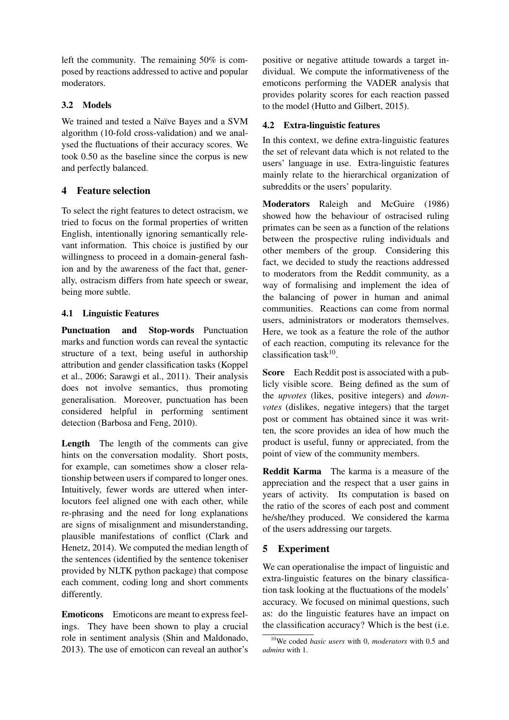left the community. The remaining 50% is composed by reactions addressed to active and popular moderators.

## 3.2 Models

We trained and tested a Naïve Bayes and a SVM algorithm (10-fold cross-validation) and we analysed the fluctuations of their accuracy scores. We took 0.50 as the baseline since the corpus is new and perfectly balanced.

## 4 Feature selection

To select the right features to detect ostracism, we tried to focus on the formal properties of written English, intentionally ignoring semantically relevant information. This choice is justified by our willingness to proceed in a domain-general fashion and by the awareness of the fact that, generally, ostracism differs from hate speech or swear, being more subtle.

## 4.1 Linguistic Features

Punctuation and Stop-words Punctuation marks and function words can reveal the syntactic structure of a text, being useful in authorship attribution and gender classification tasks (Koppel et al., 2006; Sarawgi et al., 2011). Their analysis does not involve semantics, thus promoting generalisation. Moreover, punctuation has been considered helpful in performing sentiment detection (Barbosa and Feng, 2010).

Length The length of the comments can give hints on the conversation modality. Short posts, for example, can sometimes show a closer relationship between users if compared to longer ones. Intuitively, fewer words are uttered when interlocutors feel aligned one with each other, while re-phrasing and the need for long explanations are signs of misalignment and misunderstanding, plausible manifestations of conflict (Clark and Henetz, 2014). We computed the median length of the sentences (identified by the sentence tokeniser provided by NLTK python package) that compose each comment, coding long and short comments differently.

Emoticons Emoticons are meant to express feelings. They have been shown to play a crucial role in sentiment analysis (Shin and Maldonado, 2013). The use of emoticon can reveal an author's positive or negative attitude towards a target individual. We compute the informativeness of the emoticons performing the VADER analysis that provides polarity scores for each reaction passed to the model (Hutto and Gilbert, 2015).

## 4.2 Extra-linguistic features

In this context, we define extra-linguistic features the set of relevant data which is not related to the users' language in use. Extra-linguistic features mainly relate to the hierarchical organization of subreddits or the users' popularity.

Moderators Raleigh and McGuire (1986) showed how the behaviour of ostracised ruling primates can be seen as a function of the relations between the prospective ruling individuals and other members of the group. Considering this fact, we decided to study the reactions addressed to moderators from the Reddit community, as a way of formalising and implement the idea of the balancing of power in human and animal communities. Reactions can come from normal users, administrators or moderators themselves. Here, we took as a feature the role of the author of each reaction, computing its relevance for the classification task $10$ .

Score Each Reddit post is associated with a publicly visible score. Being defined as the sum of the *upvotes* (likes, positive integers) and *downvotes* (dislikes, negative integers) that the target post or comment has obtained since it was written, the score provides an idea of how much the product is useful, funny or appreciated, from the point of view of the community members.

Reddit Karma The karma is a measure of the appreciation and the respect that a user gains in years of activity. Its computation is based on the ratio of the scores of each post and comment he/she/they produced. We considered the karma of the users addressing our targets.

## 5 Experiment

We can operationalise the impact of linguistic and extra-linguistic features on the binary classification task looking at the fluctuations of the models' accuracy. We focused on minimal questions, such as: do the linguistic features have an impact on the classification accuracy? Which is the best (i.e.

<sup>10</sup>We coded *basic users* with 0, *moderators* with 0.5 and *admins* with 1.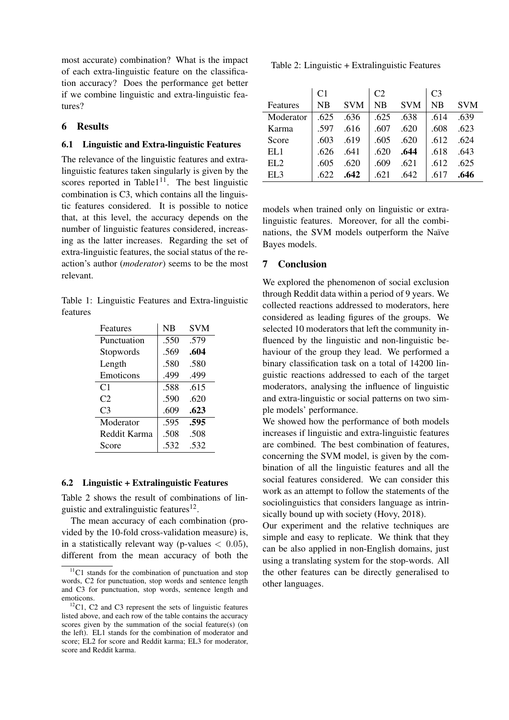most accurate) combination? What is the impact of each extra-linguistic feature on the classification accuracy? Does the performance get better if we combine linguistic and extra-linguistic features?

### 6 Results

#### 6.1 Linguistic and Extra-linguistic Features

The relevance of the linguistic features and extralinguistic features taken singularly is given by the scores reported in Table1 $11$ . The best linguistic combination is C3, which contains all the linguistic features considered. It is possible to notice that, at this level, the accuracy depends on the number of linguistic features considered, increasing as the latter increases. Regarding the set of extra-linguistic features, the social status of the reaction's author (*moderator*) seems to be the most relevant.

Table 1: Linguistic Features and Extra-linguistic features

| NB   | <b>SVM</b> |
|------|------------|
| .550 | .579       |
| .569 | .604       |
| .580 | .580       |
| .499 | .499       |
| .588 | .615       |
| .590 | .620       |
| .609 | .623       |
| .595 | .595       |
| .508 | .508       |
| .532 | .532       |
|      |            |

#### 6.2 Linguistic + Extralinguistic Features

Table 2 shows the result of combinations of linguistic and extralinguistic features<sup>12</sup>.

The mean accuracy of each combination (provided by the 10-fold cross-validation measure) is, in a statistically relevant way (p-values  $< 0.05$ ), different from the mean accuracy of both the

Table 2: Linguistic + Extralinguistic Features

|                 | C <sub>1</sub> |            | C <sub>2</sub> |            | C <sub>3</sub> |            |
|-----------------|----------------|------------|----------------|------------|----------------|------------|
| Features        | NB             | <b>SVM</b> | NB             | <b>SVM</b> | <b>NB</b>      | <b>SVM</b> |
| Moderator       | .625           | .636       | .625           | .638       | .614           | .639       |
| Karma           | .597           | .616       | .607           | .620       | .608           | .623       |
| Score           | .603           | .619       | .605           | .620       | .612           | .624       |
| EL1             | .626           | .641       | .620           | .644       | .618           | .643       |
| EL <sub>2</sub> | .605           | .620       | .609           | .621       | .612           | .625       |
| ELA             | .622           | .642       | .621           | .642       |                | .646       |

models when trained only on linguistic or extralinguistic features. Moreover, for all the combinations, the SVM models outperform the Naïve Bayes models.

### 7 Conclusion

We explored the phenomenon of social exclusion through Reddit data within a period of 9 years. We collected reactions addressed to moderators, here considered as leading figures of the groups. We selected 10 moderators that left the community influenced by the linguistic and non-linguistic behaviour of the group they lead. We performed a binary classification task on a total of 14200 linguistic reactions addressed to each of the target moderators, analysing the influence of linguistic and extra-linguistic or social patterns on two simple models' performance.

We showed how the performance of both models increases if linguistic and extra-linguistic features are combined. The best combination of features, concerning the SVM model, is given by the combination of all the linguistic features and all the social features considered. We can consider this work as an attempt to follow the statements of the sociolinguistics that considers language as intrinsically bound up with society (Hovy, 2018).

Our experiment and the relative techniques are simple and easy to replicate. We think that they can be also applied in non-English domains, just using a translating system for the stop-words. All the other features can be directly generalised to other languages.

 $11$ C1 stands for the combination of punctuation and stop words, C2 for punctuation, stop words and sentence length and C3 for punctuation, stop words, sentence length and emoticons.

 $12^{\circ}$ C1, C2 and C3 represent the sets of linguistic features listed above, and each row of the table contains the accuracy scores given by the summation of the social feature(s) (on the left). EL1 stands for the combination of moderator and score; EL2 for score and Reddit karma; EL3 for moderator, score and Reddit karma.